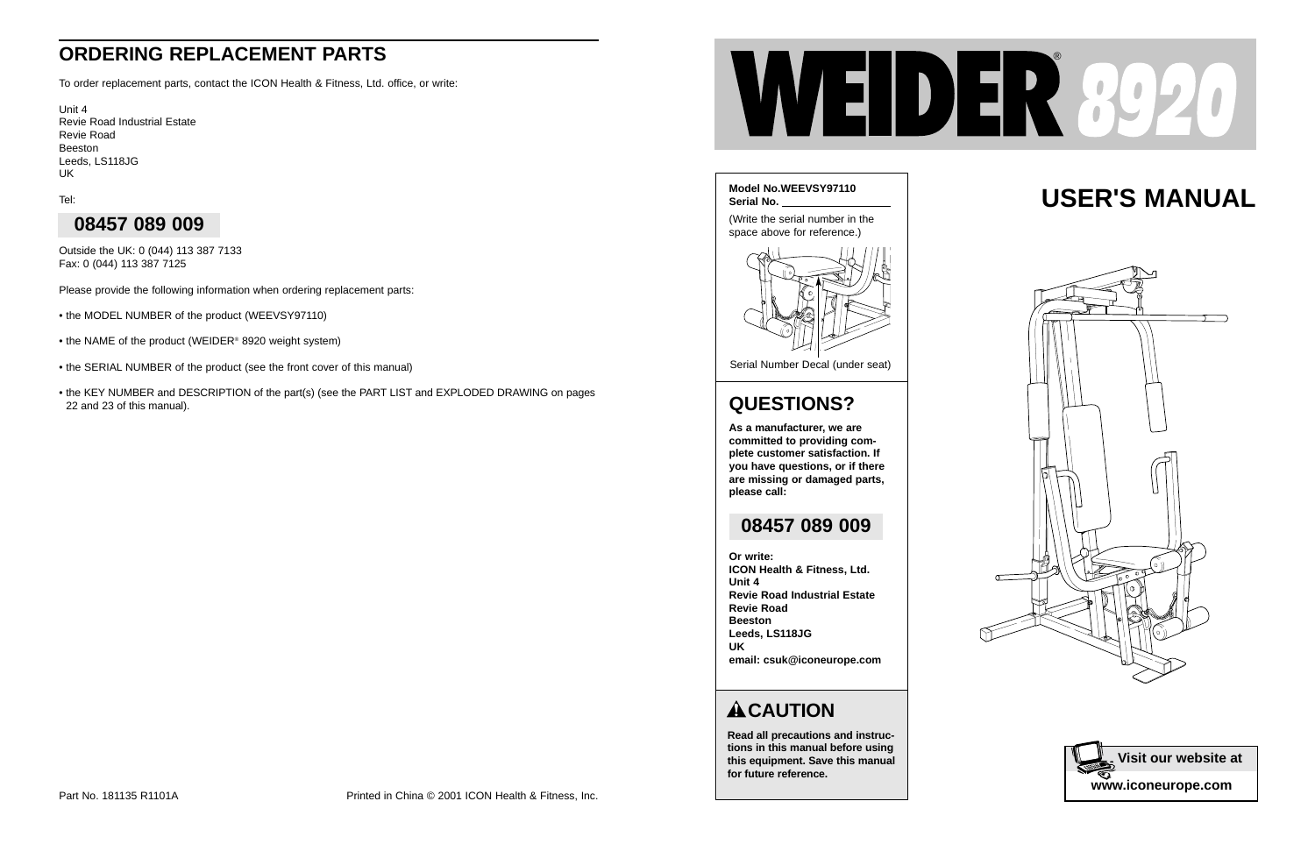# **USER'S MANUAL**





**Read all precautions and instructions in this manual before using this equipment. Save this manual for future reference.**



Serial Number Decal (under seat)



### **QUESTIONS?**

**As a manufacturer, we are committed to providing complete customer satisfaction. If you have questions, or if there are missing or damaged parts, please call:**

**Or write: ICON Health & Fitness, Ltd. Unit 4 Revie Road Industrial Estate Revie Road Beeston Leeds, LS118JG UK email: csuk@iconeurope.com**

#### **ACAUTION**

#### **08457 089 009**

### **ORDERING REPLACEMENT PARTS**

To order replacement parts, contact the ICON Health & Fitness, Ltd. office, or write:

Unit 4 Revie Road Industrial Estate Revie Road Beeston Leeds, LS118JG UK

Tel:

Outside the UK: 0 (044) 113 387 7133 Fax: 0 (044) 113 387 7125

Please provide the following information when ordering replacement parts:

- the MODEL NUMBER of the product (WEEVSY97110)
- the NAME of the product (WEIDER® 8920 weight system)
- the SERIAL NUMBER of the product (see the front cover of this manual)
- the KEY NUMBER and DESCRIPTION of the part(s) (see the PART LIST and EXPLODED DRAWING on pages 22 and 23 of this manual).



### **08457 089 009**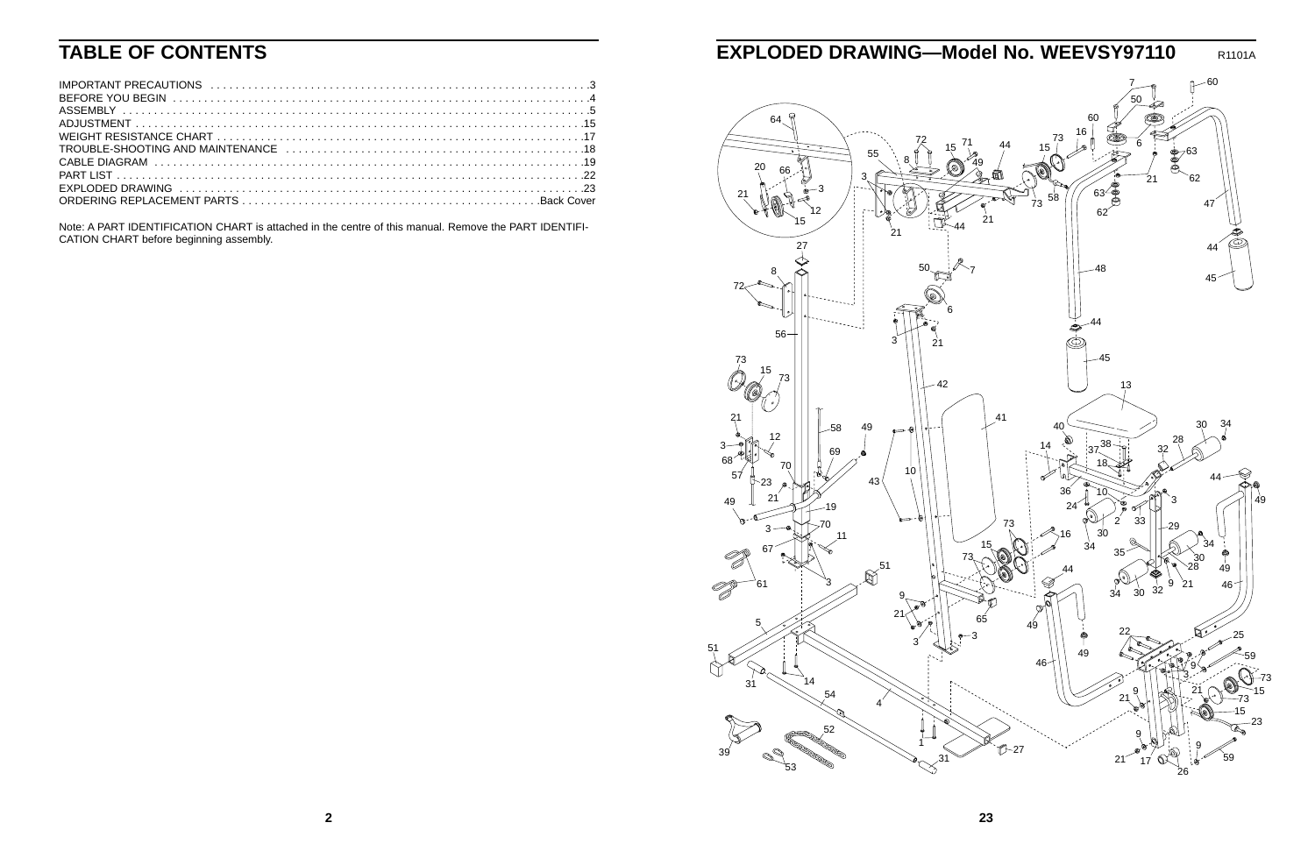

### **TABLE OF CONTENTS**

Note: A PART IDENTIFICATION CHART is attached in the centre of this manual. Remove the PART IDENTIFI-CATION CHART before beginning assembly.

### **EXPLODED DRAWING—Model No. WEEVSY97110** R1101A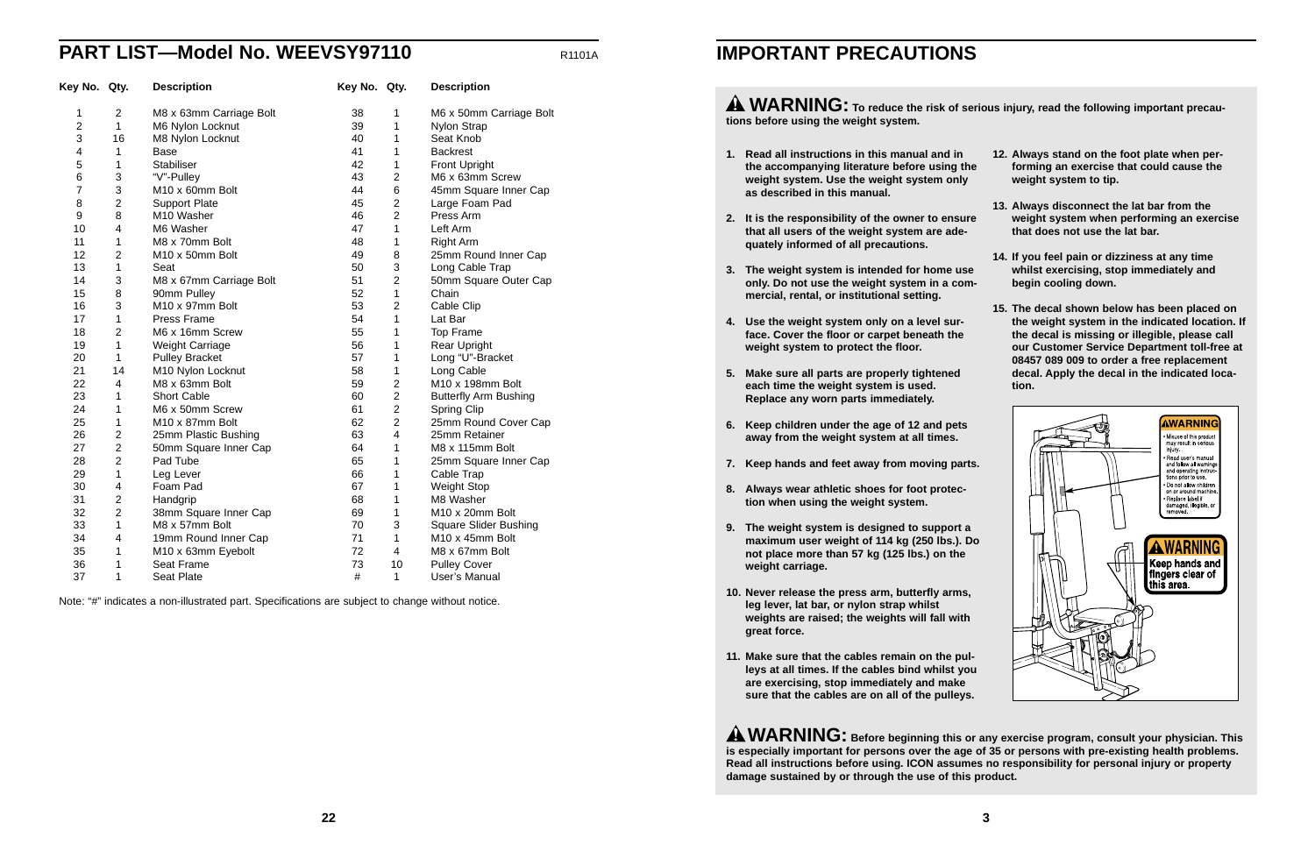- **1. Read all instructions in this manual and in the accompanying literature before using the weight system. Use the weight system only as described in this manual.**
- **2. It is the responsibility of the owner to ensure that all users of the weight system are adequately informed of all precautions.**
- **3. The weight system is intended for home use only. Do not use the weight system in a commercial, rental, or institutional setting.**
- **4. Use the weight system only on a level surface. Cover the floor or carpet beneath the weight system to protect the floor.**
- **5. Make sure all parts are properly tightened each time the weight system is used. Replace any worn parts immediately.**
- **6. Keep children under the age of 12 and pets away from the weight system at all times.**
- **7. Keep hands and feet away from moving parts.**
- **8. Always wear athletic shoes for foot protection when using the weight system.**
- **9. The weight system is designed to support a maximum user weight of 114 kg (250 lbs.). Do not place more than 57 kg (125 lbs.) on the weight carriage.**
- **10. Never release the press arm, butterfly arms, leg lever, lat bar, or nylon strap whilst weights are raised; the weights will fall with great force.**
- **11. Make sure that the cables remain on the pulleys at all times. If the cables bind whilst you are exercising, stop immediately and make sure that the cables are on all of the pulleys.**

**A WARNING:** To reduce the risk of serious injury, read the following important precau**tions before using the weight system.**

**AWARNING:** Before beginning this or any exercise program, consult your physician. This **is especially important for persons over the age of 35 or persons with pre-existing health problems. Read all instructions before using. ICON assumes no responsibility for personal injury or property damage sustained by or through the use of this product.** 

| he |  | 12. Always stand on the foot plate when per-<br>forming an exercise that could cause the<br>weight system to tip. |  |  |  |
|----|--|-------------------------------------------------------------------------------------------------------------------|--|--|--|
|    |  |                                                                                                                   |  |  |  |

#### **13. Always disconnect the lat bar from the weight system when performing an exercise that does not use the lat bar.**

- **14. If you feel pain or dizziness at any time whilst exercising, stop immediately and begin cooling down.** 
	- **15. The decal shown below has been placed on the weight system in the indicated location. If the decal is missing or illegible, please call our Customer Service Department toll-free at 08457 089 009 to order a free replacement decal. Apply the decal in the indicated location.**



Note: "#" indicates a non-illustrated part. Specifications are subject to change without notice.

### **PART LIST—Model No. WEEVSY97110** R1101A

| Key No. Qty.   |                         | <b>Description</b>      | Key No. Qty. |                         | <b>Description</b>           |
|----------------|-------------------------|-------------------------|--------------|-------------------------|------------------------------|
| 1              | $\overline{2}$          | M8 x 63mm Carriage Bolt | 38           | 1                       | M6 x 50mm Carriage Bolt      |
| $\overline{2}$ | $\mathbf{1}$            | M6 Nylon Locknut        | 39           | 1                       | Nylon Strap                  |
| 3              | 16                      | M8 Nylon Locknut        | 40           | 1                       | Seat Knob                    |
| 4              | 1                       | <b>Base</b>             | 41           | 1                       | <b>Backrest</b>              |
| 5              | 1                       | <b>Stabiliser</b>       | 42           | 1                       | <b>Front Upright</b>         |
| 6              | 3                       | "V"-Pulley              | 43           | $\overline{2}$          | M6 x 63mm Screw              |
| $\overline{7}$ | 3                       | M10 x 60mm Bolt         | 44           | 6                       | 45mm Square Inner Cap        |
| 8              | $\overline{c}$          | <b>Support Plate</b>    | 45           | $\overline{2}$          | Large Foam Pad               |
| 9              | 8                       | M10 Washer              | 46           | $\overline{2}$          | Press Arm                    |
| 10             | $\overline{\mathbf{4}}$ | M6 Washer               | 47           | 1                       | Left Arm                     |
| 11             | 1                       | M8 x 70mm Bolt          | 48           | 1                       | <b>Right Arm</b>             |
| 12             | $\overline{2}$          | M10 x 50mm Bolt         | 49           | 8                       | 25mm Round Inner Cap         |
| 13             | 1                       | Seat                    | 50           | 3                       | Long Cable Trap              |
| 14             | 3                       | M8 x 67mm Carriage Bolt | 51           | $\overline{2}$          | 50mm Square Outer Cap        |
| 15             | 8                       | 90mm Pulley             | 52           | 1                       | Chain                        |
| 16             | 3                       | M10 x 97mm Bolt         | 53           | $\overline{2}$          | Cable Clip                   |
| 17             | 1                       | Press Frame             | 54           | 1                       | Lat Bar                      |
| 18             | $\overline{2}$          | M6 x 16mm Screw         | 55           | 1                       | <b>Top Frame</b>             |
| 19             | 1                       | Weight Carriage         | 56           | 1                       | Rear Upright                 |
| 20             | $\mathbf{1}$            | <b>Pulley Bracket</b>   | 57           | 1                       | Long "U"-Bracket             |
| 21             | 14                      | M10 Nylon Locknut       | 58           | 1                       | Long Cable                   |
| 22             | 4                       | M8 x 63mm Bolt          | 59           | $\overline{2}$          | M10 x 198mm Bolt             |
| 23             | 1                       | <b>Short Cable</b>      | 60           | $\overline{2}$          | <b>Butterfly Arm Bushing</b> |
| 24             | 1                       | M6 x 50mm Screw         | 61           | $\overline{2}$          | <b>Spring Clip</b>           |
| 25             | 1                       | M10 x 87mm Bolt         | 62           | $\overline{2}$          | 25mm Round Cover Cap         |
| 26             | 2                       | 25mm Plastic Bushing    | 63           | $\overline{\mathbf{4}}$ | 25mm Retainer                |
| 27             | $\overline{2}$          | 50mm Square Inner Cap   | 64           | 1                       | M8 x 115mm Bolt              |
| 28             | $\overline{2}$          | Pad Tube                | 65           | 1                       | 25mm Square Inner Cap        |
| 29             | 1                       | Leg Lever               | 66           | 1                       | Cable Trap                   |
| 30             | 4                       | Foam Pad                | 67           | 1                       | <b>Weight Stop</b>           |
| 31             | $\overline{2}$          | Handgrip                | 68           | 1                       | M8 Washer                    |
| 32             | $\overline{2}$          | 38mm Square Inner Cap   | 69           | 1                       | M10 x 20mm Bolt              |
| 33             | 1                       | M8 x 57mm Bolt          | 70           | 3                       | <b>Square Slider Bushing</b> |
| 34             | 4                       | 19mm Round Inner Cap    | 71           | 1                       | M10 x 45mm Bolt              |
| 35             | 1                       | M10 x 63mm Eyebolt      | 72           | 4                       | M8 x 67mm Bolt               |
| 36             | 1                       | Seat Frame              | 73           | 10                      | <b>Pulley Cover</b>          |
| 37             | 1                       | Seat Plate              | #            | 1                       | User's Manual                |

#### **IMPORTANT PRECAUTIONS**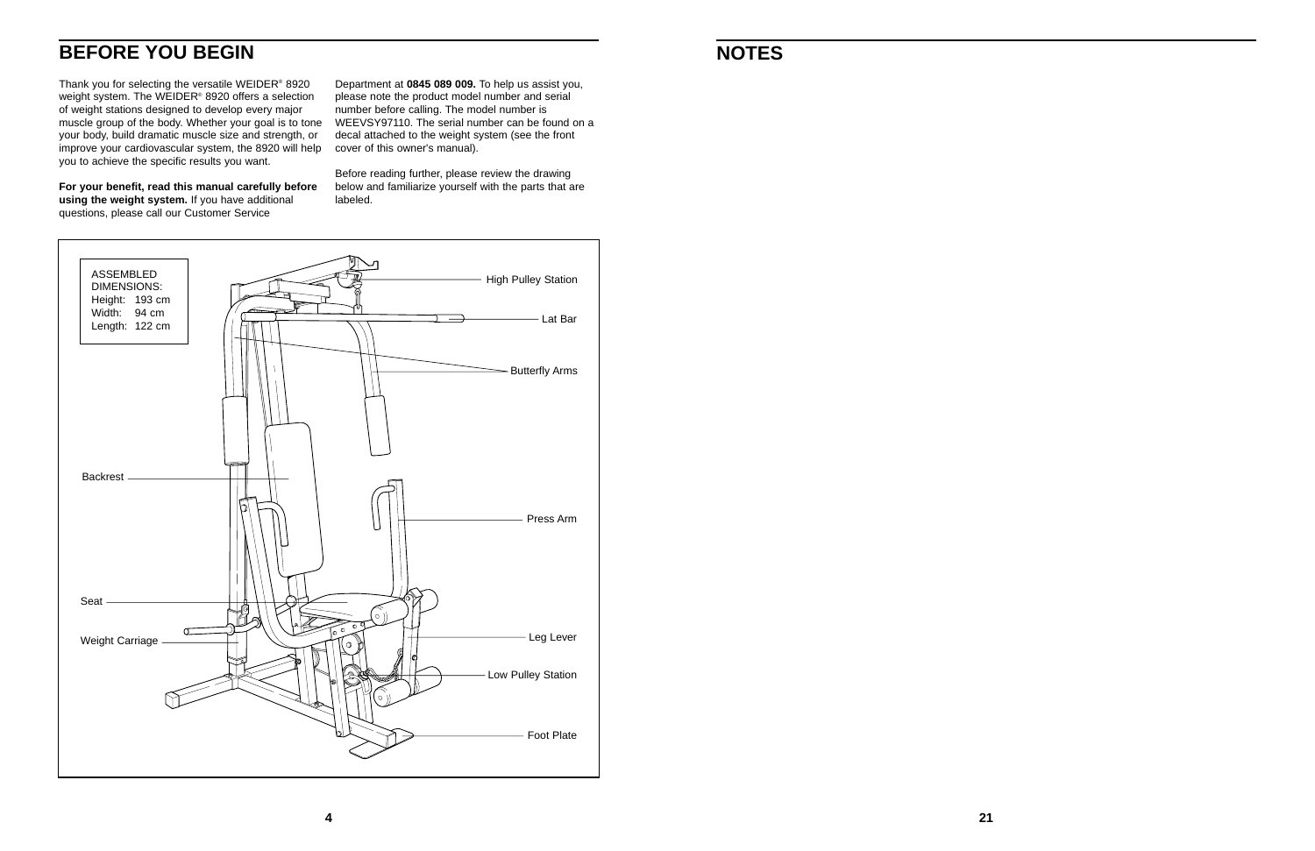### **NOTES**

### **BEFORE YOU BEGIN**



Thank you for selecting the versatile WEIDER® 8920 weight system. The WEIDER<sup>®</sup> 8920 offers a selection of weight stations designed to develop every major muscle group of the body. Whether your goal is to tone your body, build dramatic muscle size and strength, or improve your cardiovascular system, the 8920 will help you to achieve the specific results you want.

**For your benefit, read this manual carefully before using the weight system.** If you have additional questions, please call our Customer Service

Department at **0845 089 009.** To help us assist you, please note the product model number and serial number before calling. The model number is WEEVSY97110. The serial number can be found on a decal attached to the weight system (see the front cover of this owner's manual).

Before reading further, please review the drawing below and familiarize yourself with the parts that are labeled.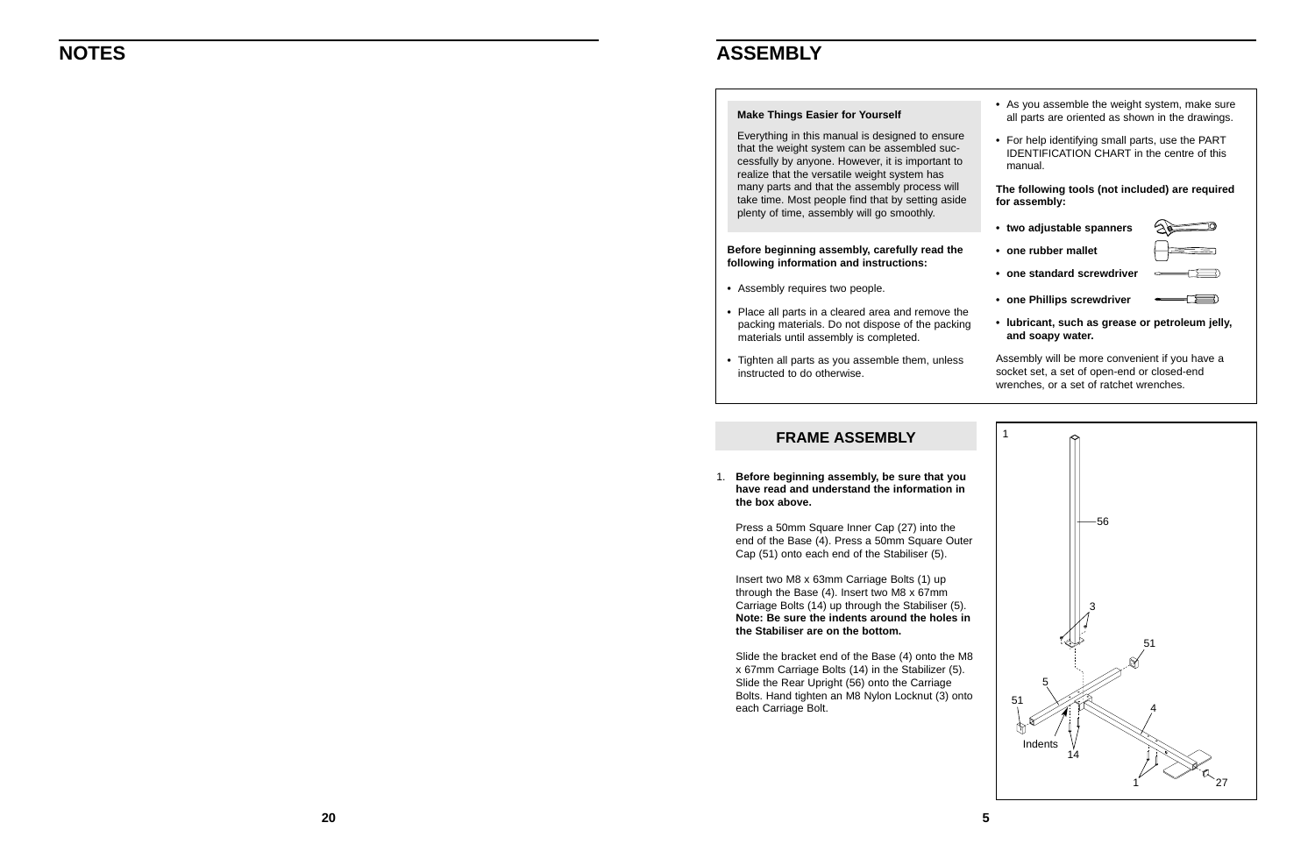

1. **Before beginning assembly, be sure that you have read and understand the information in the box above.**

Press a 50mm Square Inner Cap (27) into the end of the Base (4). Press a 50mm Square Outer Cap (51) onto each end of the Stabiliser (5).

Insert two M8 x 63mm Carriage Bolts (1) up through the Base (4). Insert two M8 x 67mm Carriage Bolts (14) up through the Stabiliser (5). **Note: Be sure the indents around the holes in the Stabiliser are on the bottom.**

Slide the bracket end of the Base (4) onto the M8 x 67mm Carriage Bolts (14) in the Stabilizer (5). Slide the Rear Upright (56) onto the Carriage Bolts. Hand tighten an M8 Nylon Locknut (3) onto each Carriage Bolt.

#### **FRAME ASSEMBLY**

### **NOTES**

**Before beginning assembly, carefully read the following information and instructions:**

- **•** Assembly requires two people.
- **•** Place all parts in a cleared area and remove the packing materials. Do not dispose of the packing materials until assembly is completed.
- **•** Tighten all parts as you assemble them, unless instructed to do otherwise.



#### **Make Things Easier for Yourself**

Everything in this manual is designed to ensure that the weight system can be assembled successfully by anyone. However, it is important to realize that the versatile weight system has many parts and that the assembly process will take time. Most people find that by setting aside plenty of time, assembly will go smoothly.

#### **ASSEMBLY**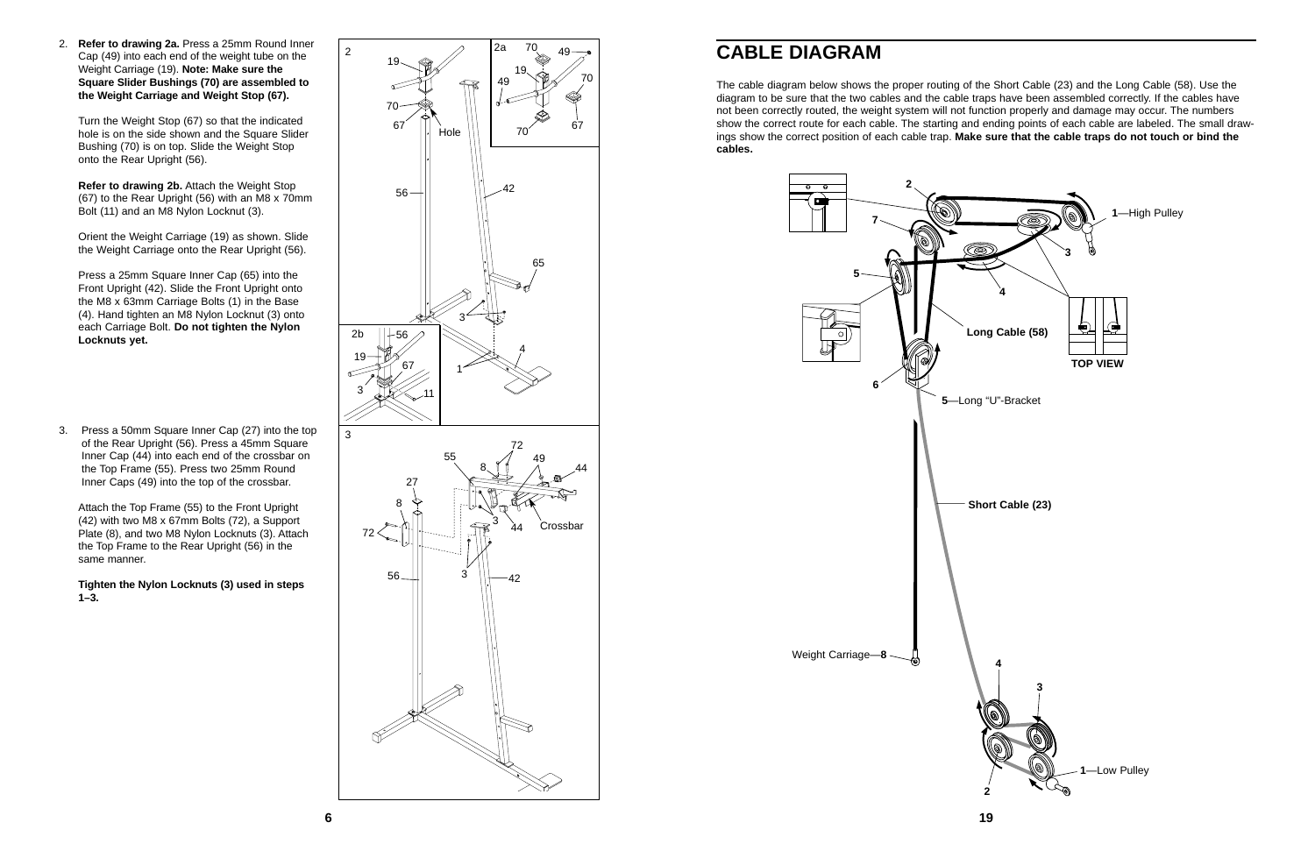2. **Refer to drawing 2a.** Press a 25mm Round Inner Cap (49) into each end of the weight tube on the Weight Carriage (19). **Note: Make sure the Square Slider Bushings (70) are assembled to the Weight Carriage and Weight Stop (67).**

Turn the Weight Stop (67) so that the indicated hole is on the side shown and the Square Slider Bushing (70) is on top. Slide the Weight Stop onto the Rear Upright (56).

**Refer to drawing 2b.** Attach the Weight Stop (67) to the Rear Upright (56) with an M8 x 70mm Bolt (11) and an M8 Nylon Locknut (3).

Orient the Weight Carriage (19) as shown. Slide the Weight Carriage onto the Rear Upright (56).

Press a 25mm Square Inner Cap (65) into the Front Upright (42). Slide the Front Upright onto the M8 x 63mm Carriage Bolts (1) in the Base (4). Hand tighten an M8 Nylon Locknut (3) onto each Carriage Bolt. **Do not tighten the Nylon Locknuts yet.**

3. Press a 50mm Square Inner Cap (27) into the top of the Rear Upright (56). Press a 45mm Square Inner Cap (44) into each end of the crossbar on the Top Frame (55). Press two 25mm Round Inner Caps (49) into the top of the crossbar.

Attach the Top Frame (55) to the Front Upright (42) with two M8 x 67mm Bolts (72), a Support Plate (8), and two M8 Nylon Locknuts (3). Attach the Top Frame to the Rear Upright (56) in the same manner.

**Tighten the Nylon Locknuts (3) used in steps 1–3.**



### **CABLE DIAGRAM**

The cable diagram below shows the proper routing of the Short Cable (23) and the Long Cable (58). Use the diagram to be sure that the two cables and the cable traps have been assembled correctly. If the cables have not been correctly routed, the weight system will not function properly and damage may occur. The numbers show the correct route for each cable. The starting and ending points of each cable are labeled. The small drawings show the correct position of each cable trap. **Make sure that the cable traps do not touch or bind the cables.**



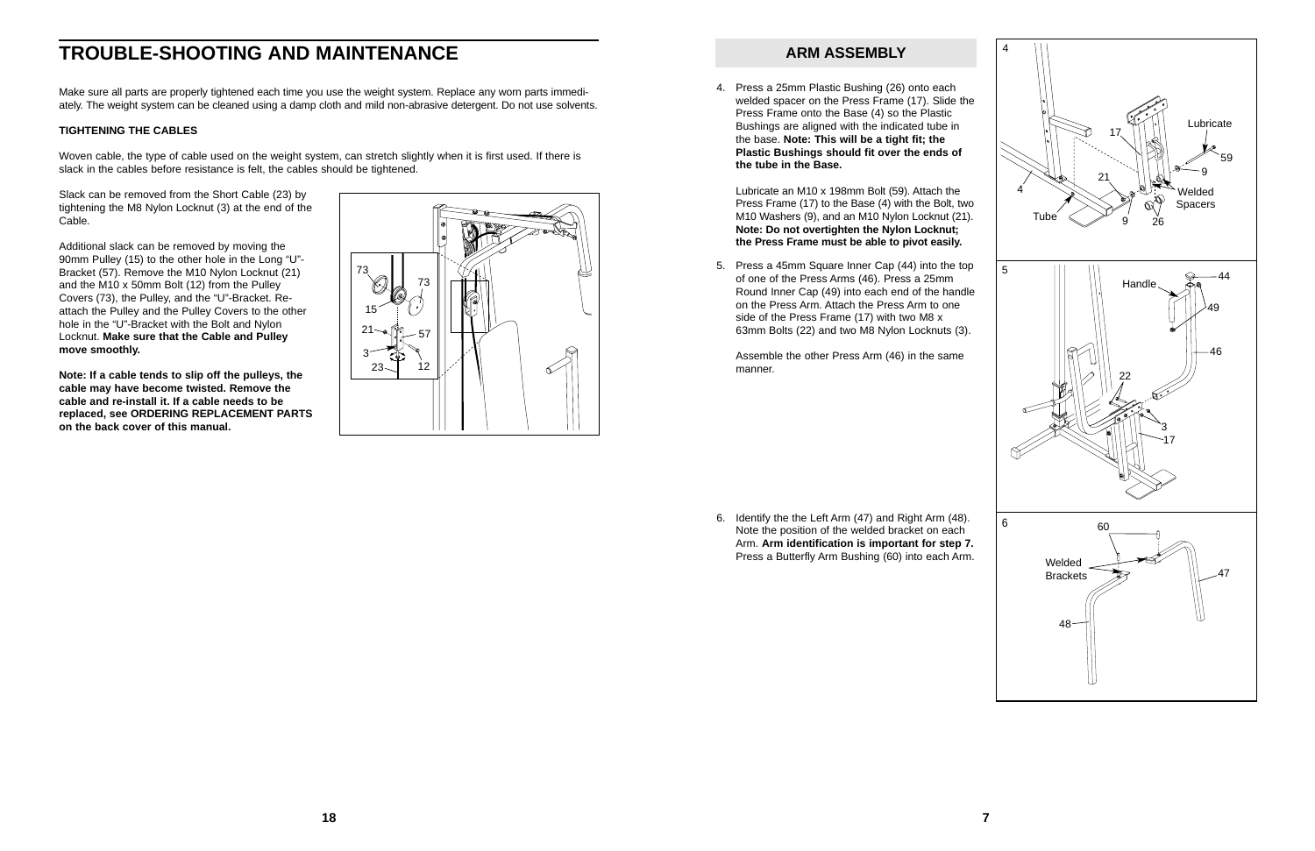### **TROUBLE-SHOOTING AND MAINTENANCE**

Make sure all parts are properly tightened each time you use the weight system. Replace any worn parts immediately. The weight system can be cleaned using a damp cloth and mild non-abrasive detergent. Do not use solvents.

#### **TIGHTENING THE CABLES**

Woven cable, the type of cable used on the weight system, can stretch slightly when it is first used. If there is slack in the cables before resistance is felt, the cables should be tightened.

Slack can be removed from the Short Cable (23) by tightening the M8 Nylon Locknut (3) at the end of the Cable.

Additional slack can be removed by moving the 90mm Pulley (15) to the other hole in the Long "U"- Bracket (57). Remove the M10 Nylon Locknut (21) and the M10 x 50mm Bolt (12) from the Pulley Covers (73), the Pulley, and the "U"-Bracket. Reattach the Pulley and the Pulley Covers to the other hole in the "U"-Bracket with the Bolt and Nylon Locknut. **Make sure that the Cable and Pulley move smoothly.**

**Note: If a cable tends to slip off the pulleys, the cable may have become twisted. Remove the cable and re-install it. If a cable needs to be replaced, see ORDERING REPLACEMENT PARTS on the back cover of this manual.**





5. Press a 45mm Square Inner Cap (44) into the top of one of the Press Arms (46). Press a 25mm Round Inner Cap (49) into each end of the handle on the Press Arm. Attach the Press Arm to one side of the Press Frame (17) with two M8 x 63mm Bolts (22) and two M8 Nylon Locknuts (3).

Assemble the other Press Arm (46) in the same manner.

6. Identify the the Left Arm (47) and Right Arm (48). Note the position of the welded bracket on each Arm. **Arm identification is important for step 7.** Press a Butterfly Arm Bushing (60) into each Arm.

4. Press a 25mm Plastic Bushing (26) onto each welded spacer on the Press Frame (17). Slide the Press Frame onto the Base (4) so the Plastic Bushings are aligned with the indicated tube in the base. **Note: This will be a tight fit; the Plastic Bushings should fit over the ends of the tube in the Base.**

Lubricate an M10 x 198mm Bolt (59). Attach the Press Frame (17) to the Base (4) with the Bolt, two M10 Washers (9), and an M10 Nylon Locknut (21). **Note: Do not overtighten the Nylon Locknut; the Press Frame must be able to pivot easily.**

#### **ARM ASSEMBLY**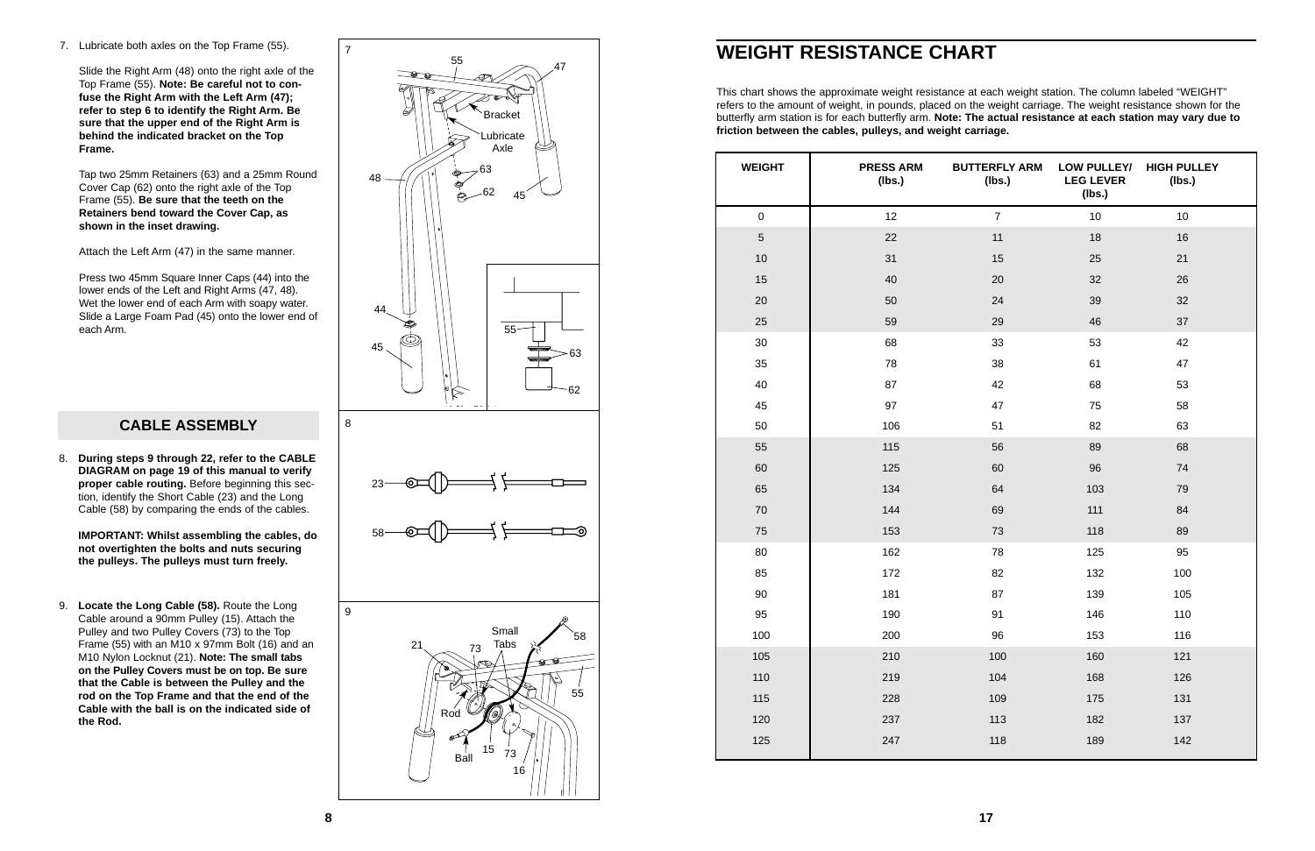8. **During steps 9 through 22, refer to the CABLE DIAGRAM on page 19 of this manual to verify proper cable routing.** Before beginning this section, identify the Short Cable (23) and the Long Cable (58) by comparing the ends of the cables.

**IMPORTANT: Whilst assembling the cables, do not overtighten the bolts and nuts securing the pulleys. The pulleys must turn freely.**

9. **Locate the Long Cable (58).** Route the Long Cable around a 90mm Pulley (15). Attach the Pulley and two Pulley Covers (73) to the Top Frame (55) with an M10 x 97mm Bolt (16) and an M10 Nylon Locknut (21). **Note: The small tabs on the Pulley Covers must be on top. Be sure that the Cable is between the Pulley and the rod on the Top Frame and that the end of the Cable with the ball is on the indicated side of the Rod.**

| <b>WEIGHT</b>  | <b>PRESS ARM</b><br>(Ibs.) | <b>BUTTERFLY ARM</b><br>(Ibs.) | <b>LOW PULLEY/</b><br><b>LEG LEVER</b><br>(Ibs.) | <b>HIGH PULLEY</b><br>(Ibs.) |
|----------------|----------------------------|--------------------------------|--------------------------------------------------|------------------------------|
| $\pmb{0}$      | 12                         | $\overline{7}$                 | 10                                               | 10                           |
| $\overline{5}$ | 22                         | 11                             | 18                                               | 16                           |
| 10             | 31                         | 15                             | 25                                               | 21                           |
| 15             | 40                         | 20                             | 32                                               | 26                           |
| 20             | 50                         | 24                             | 39                                               | 32                           |
| 25             | 59                         | 29                             | 46                                               | 37                           |
| 30             | 68                         | 33                             | 53                                               | 42                           |
| 35             | 78                         | 38                             | 61                                               | 47                           |
| 40             | 87                         | 42                             | 68                                               | 53                           |
| 45             | 97                         | 47                             | 75                                               | 58                           |
| 50             | 106                        | 51                             | 82                                               | 63                           |
| 55             | 115                        | 56                             | 89                                               | 68                           |
| 60             | 125                        | 60                             | 96                                               | 74                           |
| 65             | 134                        | 64                             | 103                                              | 79                           |
| 70             | 144                        | 69                             | 111                                              | 84                           |
| 75             | 153                        | 73                             | 118                                              | 89                           |
| 80             | 162                        | 78                             | 125                                              | 95                           |
| 85             | 172                        | 82                             | 132                                              | 100                          |
| $90\,$         | 181                        | 87                             | 139                                              | 105                          |
| 95             | 190                        | 91                             | 146                                              | 110                          |
| 100            | 200                        | 96                             | 153                                              | 116                          |
| 105            | 210                        | 100                            | 160                                              | 121                          |
| 110            | 219                        | 104                            | 168                                              | 126                          |
| 115            | 228                        | 109                            | 175                                              | 131                          |
| 120            | 237                        | 113                            | 182                                              | 137                          |
| 125            | 247                        | 118                            | 189                                              | 142                          |



## **WEIGHT RESISTANCE CHART**

This chart shows the approximate weight resistance at each weight station. The column labeled "WEIGHT" refers to the amount of weight, in pounds, placed on the weight carriage. The weight resistance shown for the butterfly arm station is for each butterfly arm. **Note: The actual resistance at each station may vary due to friction between the cables, pulleys, and weight carriage.**

7. Lubricate both axles on the Top Frame (55).

Slide the Right Arm (48) onto the right axle of the Top Frame (55). **Note: Be careful not to confuse the Right Arm with the Left Arm (47); refer to step 6 to identify the Right Arm. Be sure that the upper end of the Right Arm is behind the indicated bracket on the Top Frame.**

Tap two 25mm Retainers (63) and a 25mm Round Cover Cap (62) onto the right axle of the Top Frame (55). **Be sure that the teeth on the Retainers bend toward the Cover Cap, as shown in the inset drawing.**

Attach the Left Arm (47) in the same manner.

Press two 45mm Square Inner Caps (44) into the lower ends of the Left and Right Arms (47, 48). Wet the lower end of each Arm with soapy water. Slide a Large Foam Pad (45) onto the lower end of each Arm.

#### CABLE ASSEMBLY 8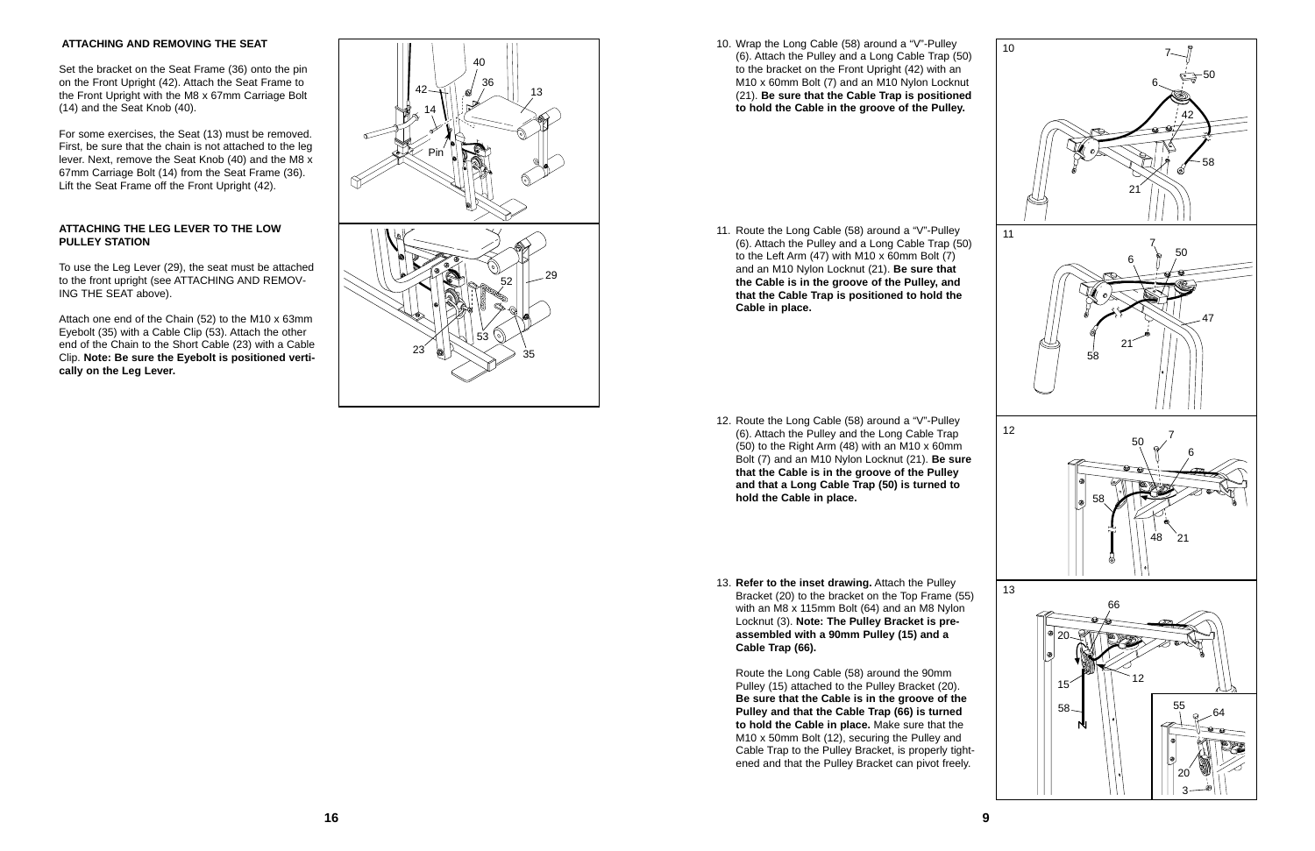- 12. Route the Long Cable (58) around a "V"-Pulley (6). Attach the Pulley and the Long Cable Trap (50) to the Right Arm (48) with an M10 x 60mm Bolt (7) and an M10 Nylon Locknut (21). **Be sure that the Cable is in the groove of the Pulley and that a Long Cable Trap (50) is turned to hold the Cable in place.**
- 13. **Refer to the inset drawing.** Attach the Pulley Bracket (20) to the bracket on the Top Frame (55) with an M8 x 115mm Bolt (64) and an M8 Nylon Locknut (3). **Note: The Pulley Bracket is preassembled with a 90mm Pulley (15) and a Cable Trap (66).**

Route the Long Cable (58) around the 90mm Pulley (15) attached to the Pulley Bracket (20). **Be sure that the Cable is in the groove of the Pulley and that the Cable Trap (66) is turned to hold the Cable in place.** Make sure that the M10 x 50mm Bolt (12), securing the Pulley and Cable Trap to the Pulley Bracket, is properly tightened and that the Pulley Bracket can pivot freely.



#### **ATTACHING AND REMOVING THE SEAT**

Set the bracket on the Seat Frame (36) onto the pin on the Front Upright (42). Attach the Seat Frame to the Front Upright with the M8 x 67mm Carriage Bolt (14) and the Seat Knob (40).

For some exercises, the Seat (13) must be removed. First, be sure that the chain is not attached to the leg lever. Next, remove the Seat Knob (40) and the M8 x 67mm Carriage Bolt (14) from the Seat Frame (36). Lift the Seat Frame off the Front Upright (42).

#### **ATTACHING THE LEG LEVER TO THE LOW PULLEY STATION**

To use the Leg Lever (29), the seat must be attached to the front upright (see ATTACHING AND REMOV-ING THE SEAT above).

Attach one end of the Chain (52) to the M10 x 63mm Eyebolt (35) with a Cable Clip (53). Attach the other end of the Chain to the Short Cable (23) with a Cable Clip. **Note: Be sure the Eyebolt is positioned vertically on the Leg Lever.**



10. Wrap the Long Cable (58) around a "V"-Pulley (6). Attach the Pulley and a Long Cable Trap (50) to the bracket on the Front Upright (42) with an M10 x 60mm Bolt (7) and an M10 Nylon Locknut (21). **Be sure that the Cable Trap is positioned to hold the Cable in the groove of the Pulley.**

11. Route the Long Cable (58) around a "V"-Pulley (6). Attach the Pulley and a Long Cable Trap (50) to the Left Arm (47) with M10 x 60mm Bolt (7) and an M10 Nylon Locknut (21). **Be sure that the Cable is in the groove of the Pulley, and that the Cable Trap is positioned to hold the Cable in place.**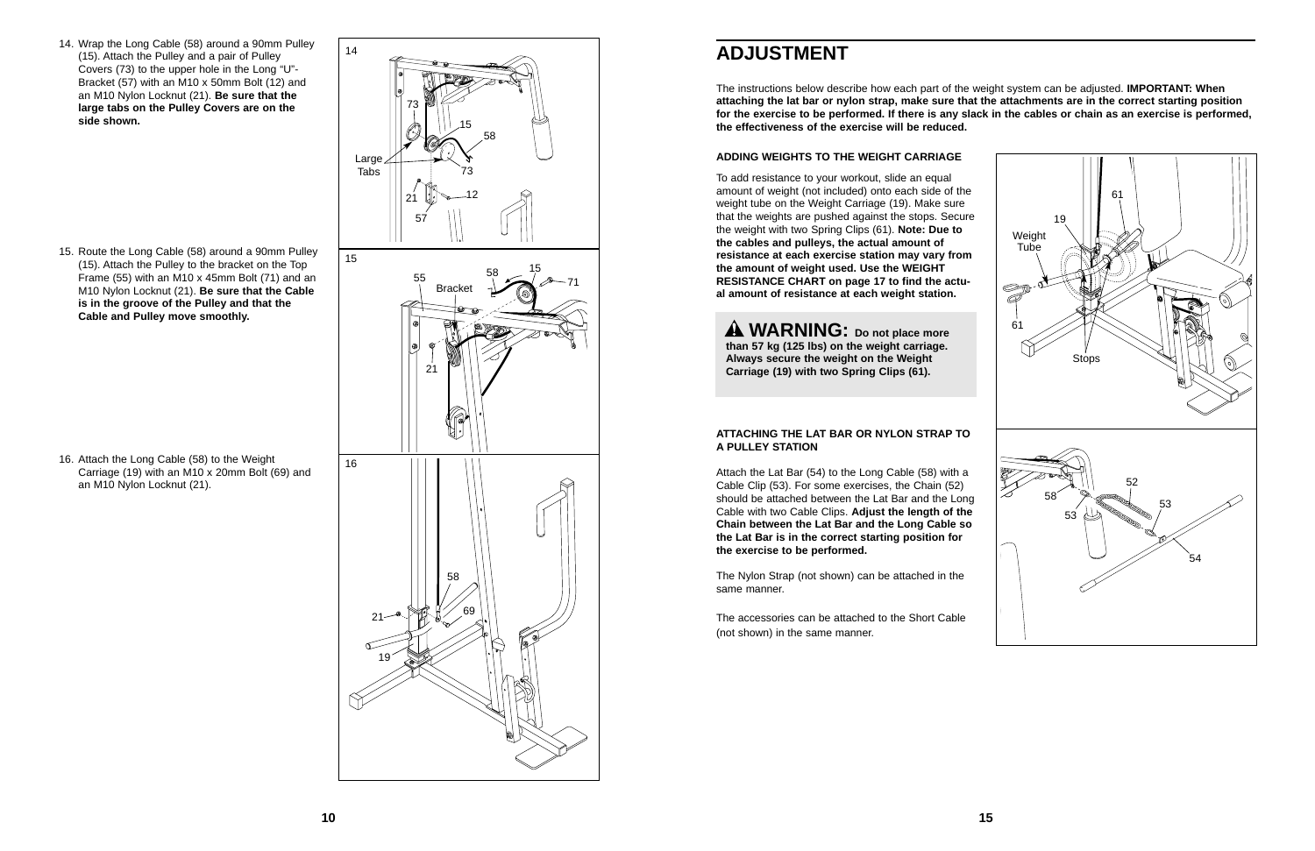16. Attach the Long Cable (58) to the Weight Carriage (19) with an M10 x 20mm Bolt (69) and an M10 Nylon Locknut (21).

### **ADJUSTMENT**

#### The instructions below describe how each part of the weight system can be adjusted. **IMPORTANT: When attaching the lat bar or nylon strap, make sure that the attachments are in the correct starting position for the exercise to be performed. If there is any slack in the cables or chain as an exercise is performed,**

**the effectiveness of the exercise will be reduced.** 



#### **ADDING WEIGHTS TO THE WEIGHT CARRIAGE**

To add resistance to your workout, slide an equal amount of weight (not included) onto each side of the weight tube on the Weight Carriage (19). Make sure that the weights are pushed against the stops. Secure the weight with two Spring Clips (61). **Note: Due to the cables and pulleys, the actual amount of resistance at each exercise station may vary from the amount of weight used. Use the WEIGHT RESISTANCE CHART on page 17 to find the actual amount of resistance at each weight station.**

#### **ATTACHING THE LAT BAR OR NYLON STRAP TO A PULLEY STATION**



Attach the Lat Bar (54) to the Long Cable (58) with a Cable Clip (53). For some exercises, the Chain (52) should be attached between the Lat Bar and the Long Cable with two Cable Clips. **Adjust the length of the Chain between the Lat Bar and the Long Cable so the Lat Bar is in the correct starting position for the exercise to be performed.**

The Nylon Strap (not shown) can be attached in the same manner.

The accessories can be attached to the Short Cable (not shown) in the same manner.

**WARNING: Do not place more than 57 kg (125 lbs) on the weight carriage. Always secure the weight on the Weight Carriage (19) with two Spring Clips (61).**

14. Wrap the Long Cable (58) around a 90mm Pulley (15). Attach the Pulley and a pair of Pulley Covers (73) to the upper hole in the Long "U"- Bracket (57) with an M10 x 50mm Bolt (12) and an M10 Nylon Locknut (21). **Be sure that the large tabs on the Pulley Covers are on the side shown.**

15. Route the Long Cable (58) around a 90mm Pulley (15). Attach the Pulley to the bracket on the Top Frame (55) with an M10 x 45mm Bolt (71) and an M10 Nylon Locknut (21). **Be sure that the Cable is in the groove of the Pulley and that the Cable and Pulley move smoothly.**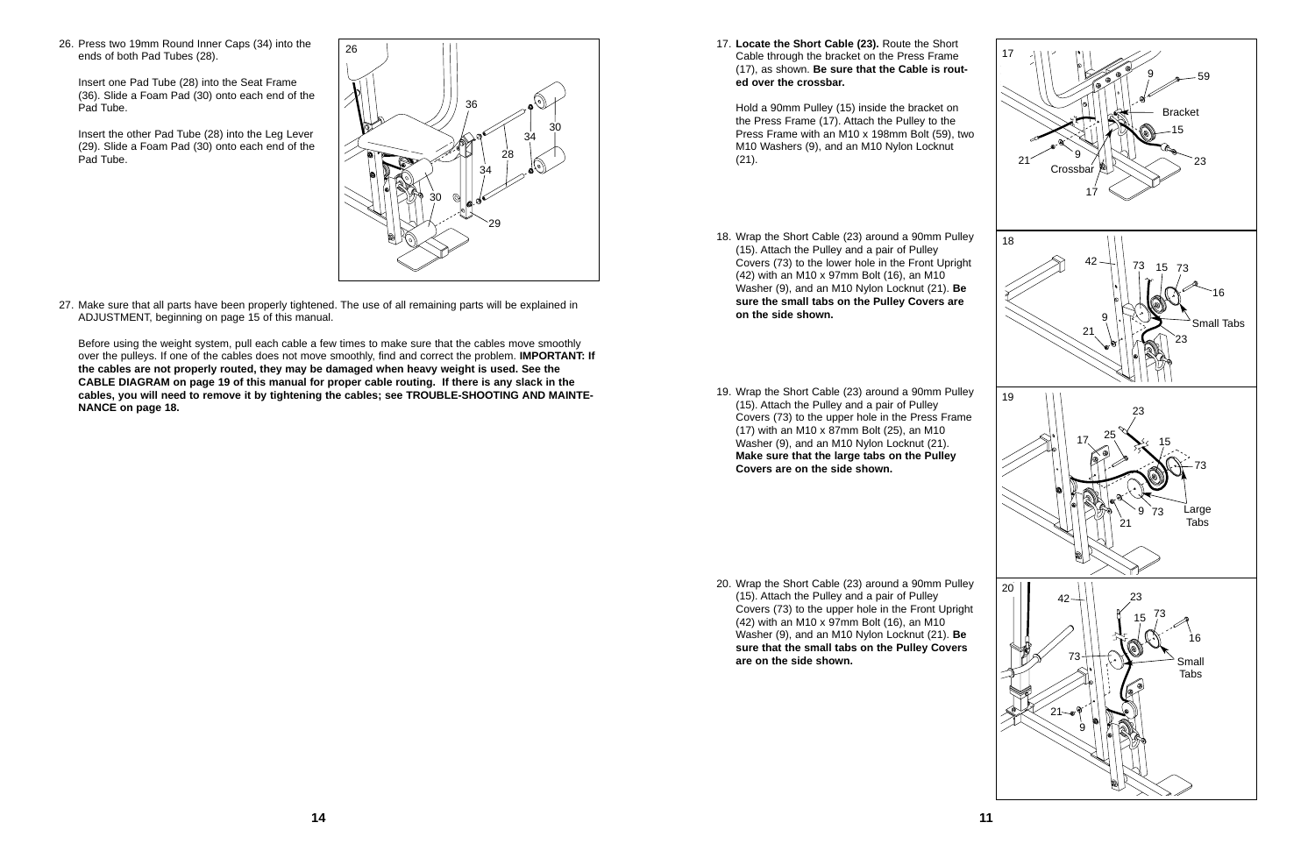20. Wrap the Short Cable (23) around a 90mm Pulley (15). Attach the Pulley and a pair of Pulley Covers (73) to the upper hole in the Front Upright (42) with an M10 x 97mm Bolt (16), an M10 Washer (9), and an M10 Nylon Locknut (21). **Be sure that the small tabs on the Pulley Covers are on the side shown.**

26. Press two 19mm Round Inner Caps (34) into the ends of both Pad Tubes (28).

Insert one Pad Tube (28) into the Seat Frame (36). Slide a Foam Pad (30) onto each end of the Pad Tube.

Insert the other Pad Tube (28) into the Leg Lever (29). Slide a Foam Pad (30) onto each end of the Pad Tube.

27. Make sure that all parts have been properly tightened. The use of all remaining parts will be explained in ADJUSTMENT, beginning on page 15 of this manual.

- 18. Wrap the Short Cable (23) around a 90mm Pulley (15). Attach the Pulley and a pair of Pulley Covers (73) to the lower hole in the Front Upright (42) with an M10 x 97mm Bolt (16), an M10 Washer (9), and an M10 Nylon Locknut (21). **Be sure the small tabs on the Pulley Covers are on the side shown.**
- 19. Wrap the Short Cable (23) around a 90mm Pulley (15). Attach the Pulley and a pair of Pulley Covers (73) to the upper hole in the Press Frame (17) with an M10 x 87mm Bolt (25), an M10 Washer (9), and an M10 Nylon Locknut (21). **Make sure that the large tabs on the Pulley Covers are on the side shown.**

Before using the weight system, pull each cable a few times to make sure that the cables move smoothly over the pulleys. If one of the cables does not move smoothly, find and correct the problem. **IMPORTANT: If the cables are not properly routed, they may be damaged when heavy weight is used. See the CABLE DIAGRAM on page 19 of this manual for proper cable routing. If there is any slack in the cables, you will need to remove it by tightening the cables; see TROUBLE-SHOOTING AND MAINTE-NANCE on page 18.**



17. **Locate the Short Cable (23).** Route the Short Cable through the bracket on the Press Frame (17), as shown. **Be sure that the Cable is routed over the crossbar.** 

Hold a 90mm Pulley (15) inside the bracket on the Press Frame (17). Attach the Pulley to the Press Frame with an M10 x 198mm Bolt (59), two M10 Washers (9), and an M10 Nylon Locknut (21).

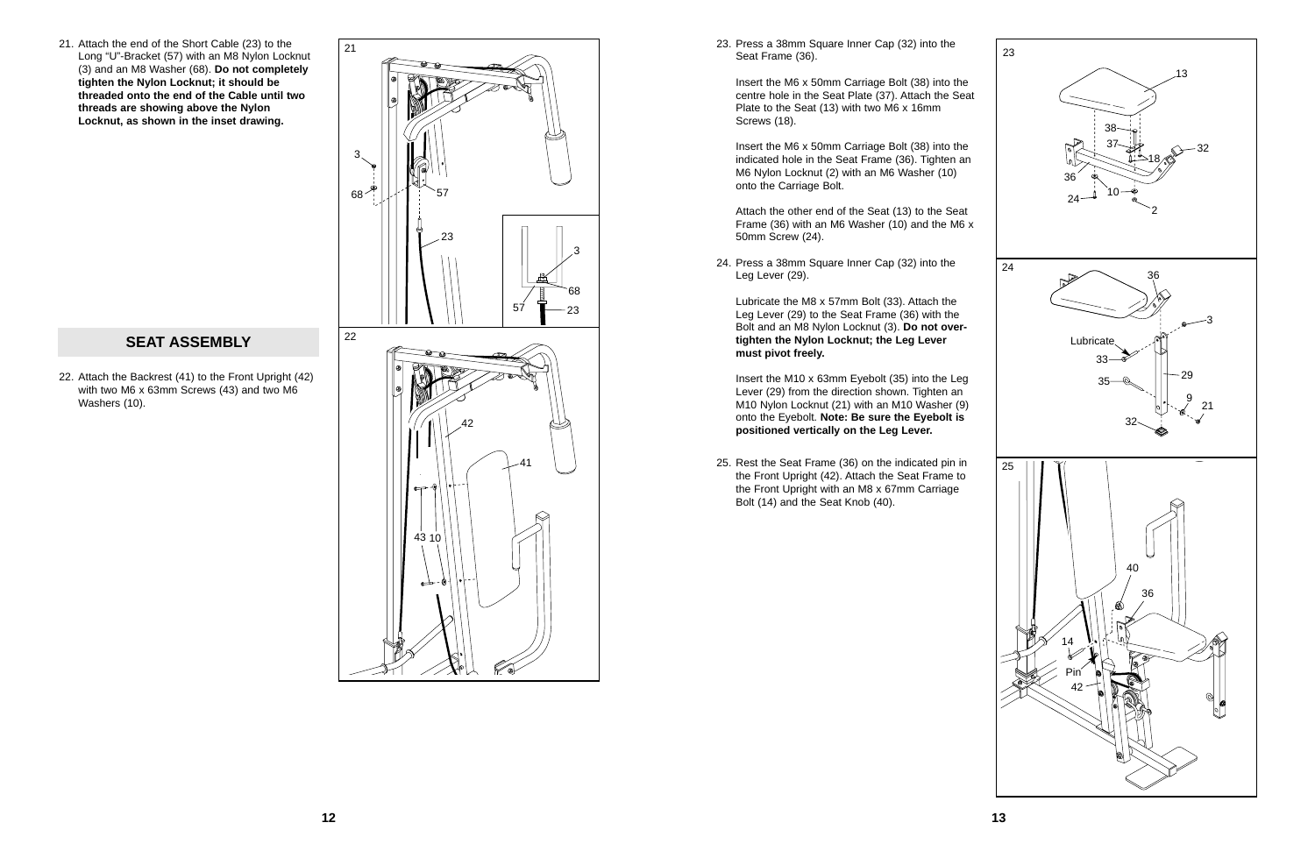22. Attach the Backrest (41) to the Front Upright (42) with two M6 x 63mm Screws (43) and two M6 Washers (10).

#### **SEAT ASSEMBLY**

Insert the M6 x 50mm Carriage Bolt (38) into the centre hole in the Seat Plate (37). Attach the Seat Plate to the Seat (13) with two M6 x 16mm Screws (18).

25. Rest the Seat Frame (36) on the indicated pin in the Front Upright (42). Attach the Seat Frame to the Front Upright with an M8 x 67mm Carriage Bolt (14) and the Seat Knob (40).

23. Press a 38mm Square Inner Cap (32) into the Seat Frame (36).

Insert the M6 x 50mm Carriage Bolt (38) into the indicated hole in the Seat Frame (36). Tighten an M6 Nylon Locknut (2) with an M6 Washer (10) onto the Carriage Bolt.

Attach the other end of the Seat (13) to the Seat Frame (36) with an M6 Washer (10) and the M6 x 50mm Screw (24).



24. Press a 38mm Square Inner Cap (32) into the Leg Lever (29).

21. Attach the end of the Short Cable (23) to the  $\sqrt{21}$ Long "U"-Bracket (57) with an M8 Nylon Locknut (3) and an M8 Washer (68). **Do not completely tighten the Nylon Locknut; it should be threaded onto the end of the Cable until two threads are showing above the Nylon Locknut, as shown in the inset drawing.**

> Lubricate the M8 x 57mm Bolt (33). Attach the Leg Lever (29) to the Seat Frame (36) with the Bolt and an M8 Nylon Locknut (3). **Do not overtighten the Nylon Locknut; the Leg Lever must pivot freely.**

> Insert the M10 x 63mm Eyebolt (35) into the Leg Lever (29) from the direction shown. Tighten an M10 Nylon Locknut (21) with an M10 Washer (9) onto the Eyebolt. **Note: Be sure the Eyebolt is positioned vertically on the Leg Lever.**

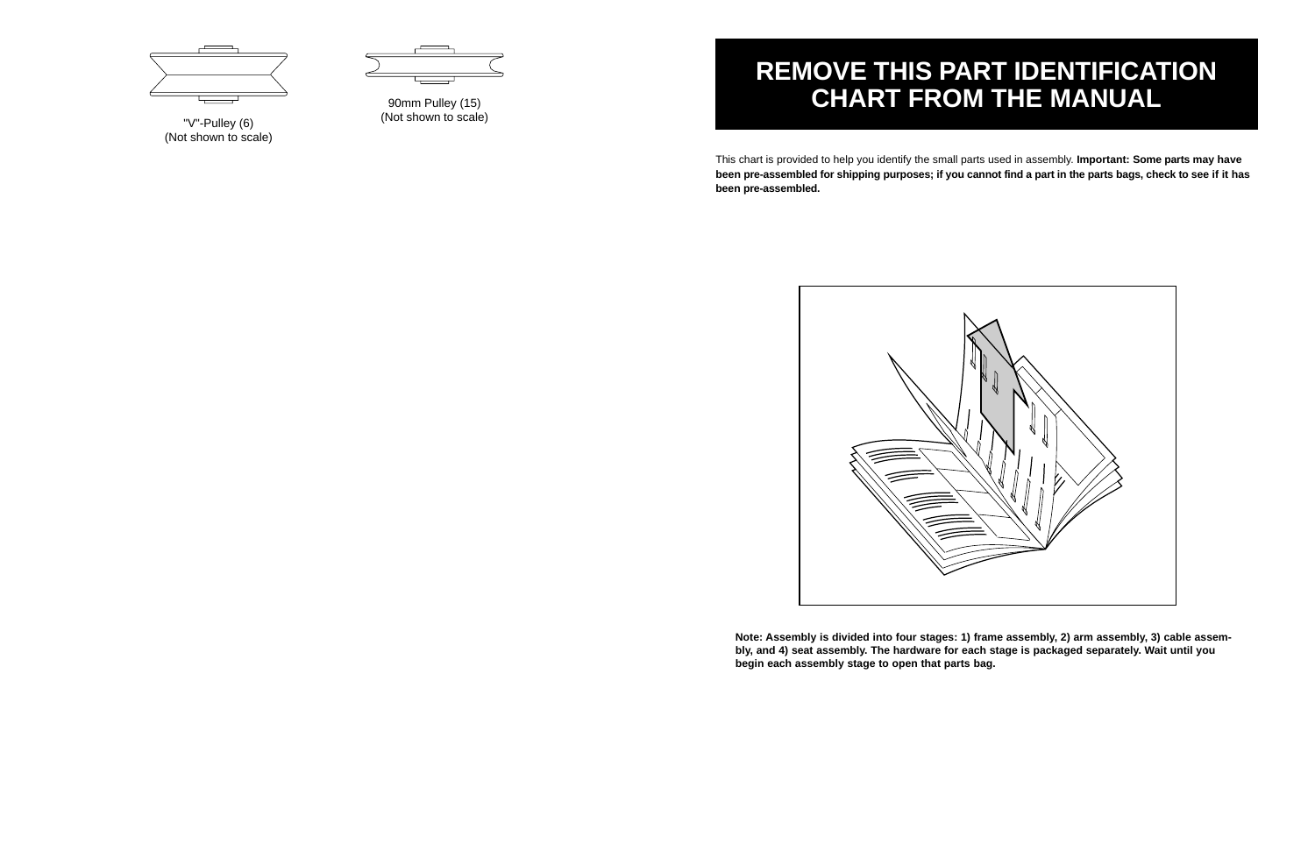This chart is provided to help you identify the small parts used in assembly. **Important: Some parts may have been pre-assembled for shipping purposes; if you cannot find a part in the parts bags, check to see if it has been pre-assembled.**

# **REMOVE THIS PART IDENTIFICATION CHART FROM THE MANUAL**

**Note: Assembly is divided into four stages: 1) frame assembly, 2) arm assembly, 3) cable assembly, and 4) seat assembly. The hardware for each stage is packaged separately. Wait until you**



**begin each assembly stage to open that parts bag.**



"V"-Pulley (6) (Not shown to scale)



90mm Pulley (15) (Not shown to scale)